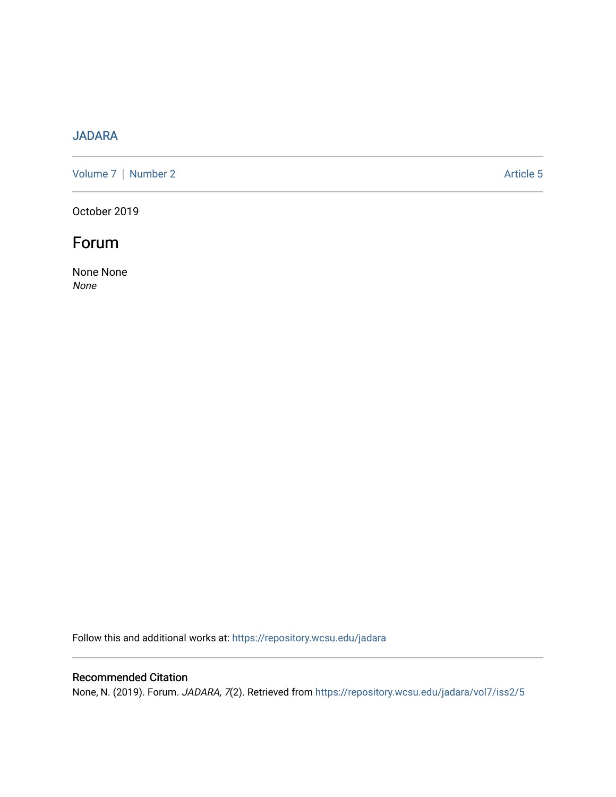# [JADARA](https://repository.wcsu.edu/jadara)

[Volume 7](https://repository.wcsu.edu/jadara/vol7) | [Number 2](https://repository.wcsu.edu/jadara/vol7/iss2) Article 5

October 2019

# Forum

None None None

Follow this and additional works at: [https://repository.wcsu.edu/jadara](https://repository.wcsu.edu/jadara?utm_source=repository.wcsu.edu%2Fjadara%2Fvol7%2Fiss2%2F5&utm_medium=PDF&utm_campaign=PDFCoverPages)

## Recommended Citation

None, N. (2019). Forum. JADARA, 7(2). Retrieved from [https://repository.wcsu.edu/jadara/vol7/iss2/5](https://repository.wcsu.edu/jadara/vol7/iss2/5?utm_source=repository.wcsu.edu%2Fjadara%2Fvol7%2Fiss2%2F5&utm_medium=PDF&utm_campaign=PDFCoverPages)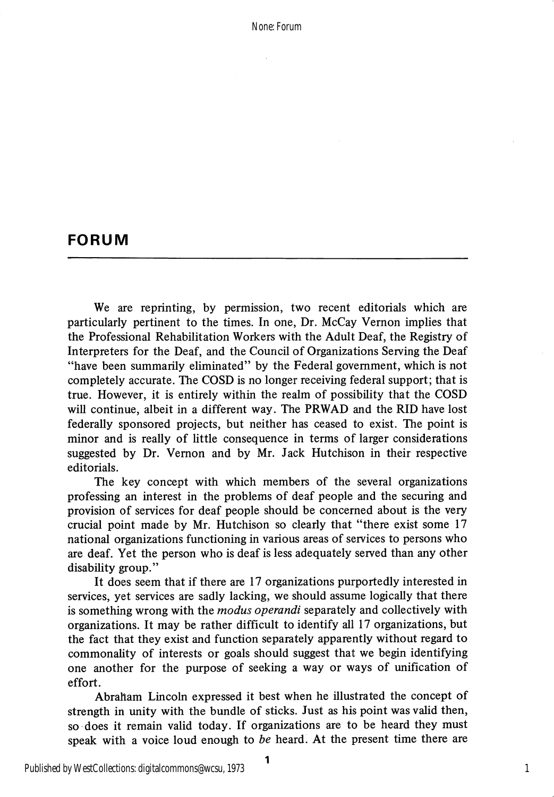None: Forum

### FORUM

We are reprinting, by permission, two recent editorials which are particularly pertinent to the times. In one. Dr. McCay Vernon implies that the Professional Rehabilitation Workers with the Adult Deaf, the Registry of Interpreters for the Deaf, and the Council of Organizations Serving the Deaf "have been summarily eliminated" by the Federal govemment, which is not completely accurate. The COSD is no longer receiving federal support; that is true. However, it is entirely within the realm of possibility that the COSD will continue, albeit in a different way. The PRWAD and the RID have lost federally sponsored projects, but neither has ceased to exist. The point is minor and is really of little consequence in terms of larger considerations suggested by Dr. Vemon and by Mr. Jack Hutchison in their respective editorials.

The key concept with which members of the several organizations professing an interest in the problems of deaf people and the securing and provision of services for deaf people should be concerned about is the very crucial point made by Mr. Hutchison so clearly that "there exist some 17 national organizations functioning in various areas of services to persons who are deaf. Yet the person who is deaf is less adequately served than any other disability group."

It does seem that if there are 17 organizations purportedly interested in services, yet services are sadly lacking, we should assume logically that there is something wrong with the *modus operandi* separately and collectively with organizations. It may be rather difficult to identify all 17 organizations, but the fact that they exist and function separately apparently without regard to commonality of interests or goals should suggest that we begin identifying one another for the purpose of seeking a way or ways of unification of effort.

Abraham Lincoln expressed it best when he illustrated the concept of strength in unity with the bundle of sticks. Just as his point was valid then, so does it remain valid today. If organizations are to be heard they must speak with a voice loud enough to be heard. At the present time there are

1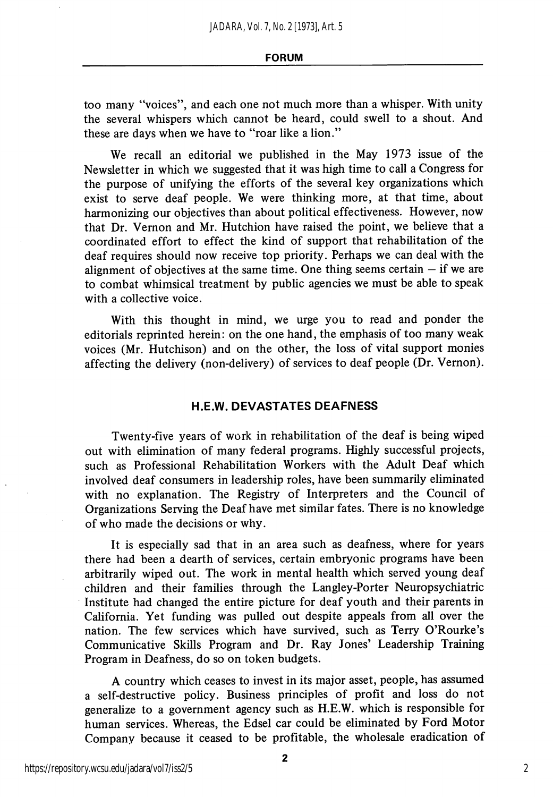#### FORUM

too many "voices", and each one not much more than a whisper. With unity the several whispers which cannot be heard, could swell to a shout. And these are days when we have to "roar like a lion."

We recall an editorial we published in the May 1973 issue of the Newsletter in which we suggested that it was high time to call a Congress for the purpose of unifying the efforts of the several key organizations which exist to serve deaf people. We were thinking more, at that time, about harmonizing our objectives than about political effectiveness. However, now that Dr. Vemon and Mr. Hutchion have raised the point, we believe that a coordinated effort to effect the kind of support that rehabilitation of the deaf requires should now receive top priority. Perhaps we can deal with the alignment of objectives at the same time. One thing seems certain  $-$  if we are to combat whimsical treatment by public agencies we must be able to speak with a collective voice.

With this thought in mind, we urge you to read and ponder the editorials reprinted herein: on the one hand, the emphasis of too many weak voices (Mr. Hutchison) and on the other, the loss of vital support monies affecting the delivery (non-delivery) of services to deaf people (Dr. Vemon).

### H.E.W. DEVASTATES DEAFNESS

Twenty-five years of work in rehabilitation of the deaf is being wiped out with elimination of many federal programs. Highly successful projects, such as Professional Rehabilitation Workers with the Adult Deaf which involved deaf consumers in leadership roles, have been summarily eliminated with no explanation. The Registry of Interpreters and the Council of Organizations Serving the Deaf have met similar fates. There is no knowledge of who made the decisions or why.

It is especially sad that in an area such as deafness, where for years there had been a dearth of services, certain embryonic programs have been arbitrarily wiped out. The work in mental health which served young deaf children and their families through the Langley-Porter Neuropsychiatric Institute had changed the entire picture for deaf youth and their parents in Califomia. Yet funding was pulled out despite appeals from all over the nation. The few services which have survived, such as Terry O'Rourke's Communicative Skills Program and Dr. Ray Jones' Leadership Training Program in Deafness, do so on token budgets.

A country which ceases to invest in its major asset, people, has assumed a self-destructive policy. Business principles of profit and loss do not generalize to a government agency such as H.E.W. which is responsible for human services. Whereas, the Edsel car could be eliminated by Ford Motor Company because it ceased to be profitable, the wholesale eradication of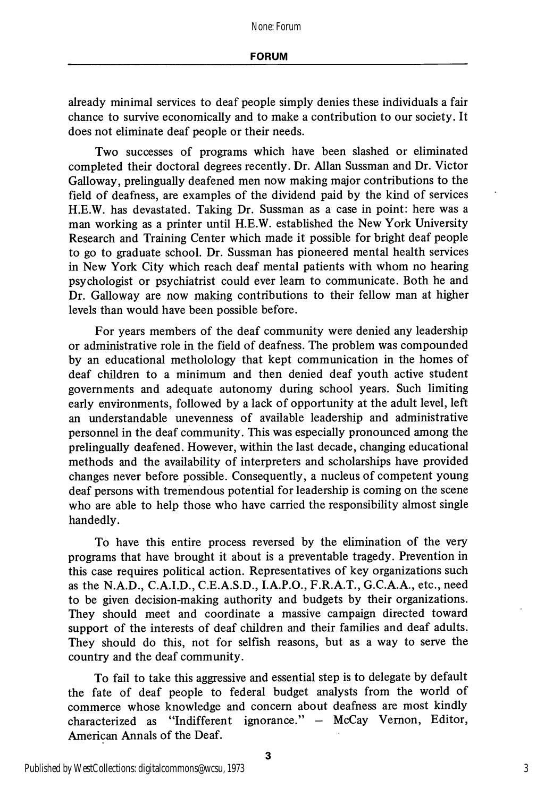already minimal services to deaf people simply denies these individuals a fair chance to survive economically and to make a contribution to our society. It does not eliminate deaf people or their needs.

Two successes of programs which have been slashed or eliminated completed their doctoral degrees recently. Dr. Allan Sussman and Dr. Victor Galloway, prelingually deafened men now making major contributions to the field of deafness, are examples of the dividend paid by the kind of services H.E.W. has devastated. Taking Dr. Sussman as a case in point: here was a man working as a printer until H.E.W. established the New York University Research and Training Center which made it possible for bright deaf people to go to graduate school. Dr. Sussman has pioneered mental health services in New York City which reach deaf mental patients with whom no hearing psychologist or psychiatrist could ever learn to communicate. Both he and Dr. Galloway are now making contributions to their fellow man at higher levels than would have been possible before.

For years members of the deaf community were denied any leadership or administrative role in the field of deafness. The problem was compounded by an educational metholology that kept communication in the homes of deaf children to a minimum and then denied deaf youth active student governments and adequate autonomy during school years. Such limiting early environments, followed by a lack of opportunity at the adult level, left an understandable unevenness of available leadership and administrative personnel in the deaf community. This was especially pronounced among the prelingually deafened. However, within the last decade, changing educational methods and the availability of interpreters and scholarships have provided changes never before possible. Consequently, a nucleus of competent young deaf persons with tremendous potential for leadership is coming on the scene who are able to help those who have carried the responsibility almost single handedly.

To have this entire process reversed by the elimination of the very programs that have brought it about is a preventable tragedy. Prevention in this case requires political action. Representatives of key organizations such as the N.A.D., C.A.I.D., C.E.A.S.D., I.A.P.O., F.R.A.T., G.C.A.A., etc., need to be given decision-making authority and budgets by their organizations. They should meet and coordinate a massive campaign directed toward support of the interests of deaf children and their families and deaf adults. They should do this, not for selfish reasons, but as a way to serve the country and the deaf community.

To fail to take this aggressive and essential step is to delegate by default the fate of deaf people to federal budget analysts from the world of commerce whose knowledge and concern about deafness are most kindly characterized as "Indifferent ignorance." — McCay Vemon, Editor, American Annals of the Deaf.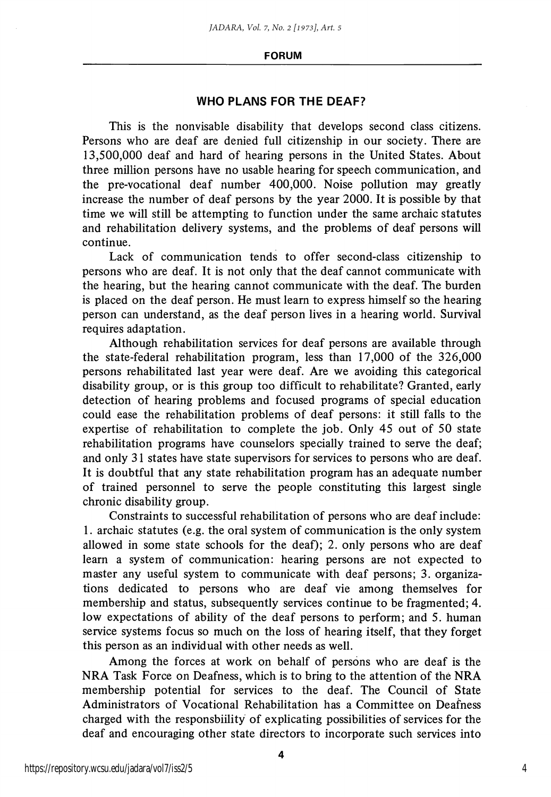#### FORUM

### WHO PLANS FOR THE DEAF?

This is the nonvisable disability that develops second class citizens. Persons who are deaf are denied full citizenship in our society. There are 13,500,000 deaf and hard of hearing persons in the United States. About three million persons have no usable hearing for speech communication, and the pre-vocational deaf number 400,000. Noise pollution may greatly increase the number of deaf persons by the year 2000. It is possible by that time we will still be attempting to function under the same archaic statutes and rehabilitation delivery systems, and the problems of deaf persons will continue.

Lack of communication tends to offer second-class citizenship to persons who are deaf. It is not only that the deaf cannot communicate with the hearing, but the hearing cannot communicate with the deaf. The burden is placed on the deaf person. He must learn to express himself so the hearing person can understand, as the deaf person lives in a hearing world. Survival requires adaptation.

Although rehabilitation services for deaf persons are available through the state-federal rehabilitation program, less than 17,000 of the 326,000 persons rehabilitated last year were deaf. Are we avoiding this categorical disability group, or is this group too difficult to rehabilitate? Granted, early detection of hearing problems and focused programs of special education could ease the rehabilitation problems of deaf persons: it still falls to the expertise of rehabilitation to complete the job. Only 45 out of 50 state rehabilitation programs have counselors specially trained to serve the deaf; and only 31 states have state supervisors for services to persons who are deaf. It is doubtful that any state rehabilitation program has an adequate number of trained personnel to serve the people constituting this largest single chronic disability group.

Constraints to successful rehabilitation of persons who are deaf include: 1. archaic statutes (e.g. the oral system of communication is the only system allowed in some state schools for the deaf); 2. only persons who are deaf learn a system of communication: hearing persons are not expected to master any useful system to communicate with deaf persons; 3. organiza tions dedicated to persons who are deaf vie among themselves for membership and status, subsequently services continue to be fragmented; 4. low expectations of ability of the deaf persons to perform; and 5. human service systems focus so much on the loss of hearing itself, that they forget this person as an individual with other needs as well.

Among the forces at work on behalf of persons who are deaf is the NRA Task Force on Deafness, which is to bring to the attention of the NRA membership potential for services to the deaf. The Council of State Administrators of Vocational Rehabilitation has a Committee on Deafness charged with the responsbiility of explicating possibilities of services for the deaf and encouraging other state directors to incorporate such services into

4